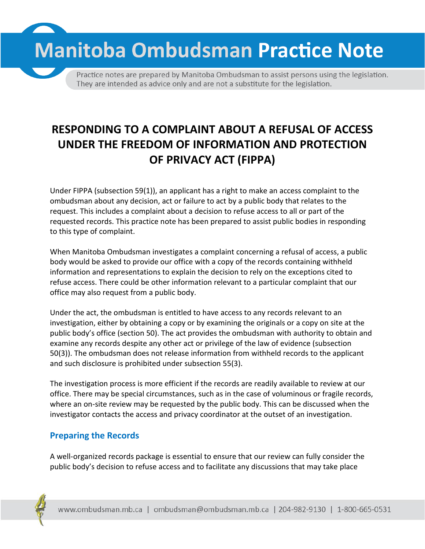**Manitoba Ombudsman Practice Note** 

Practice notes are prepared by Manitoba Ombudsman to assist persons using the legislation. They are intended as advice only and are not a substitute for the legislation.

# **RESPONDING TO A COMPLAINT ABOUT A REFUSAL OF ACCESS UNDER THE FREEDOM OF INFORMATION AND PROTECTION OF PRIVACY ACT (FIPPA)**

Under FIPPA (subsection 59(1)), an applicant has a right to make an access complaint to the ombudsman about any decision, act or failure to act by a public body that relates to the request. This includes a complaint about a decision to refuse access to all or part of the requested records. This practice note has been prepared to assist public bodies in responding to this type of complaint.

When Manitoba Ombudsman investigates a complaint concerning a refusal of access, a public body would be asked to provide our office with a copy of the records containing withheld information and representations to explain the decision to rely on the exceptions cited to refuse access. There could be other information relevant to a particular complaint that our office may also request from a public body.

Under the act, the ombudsman is entitled to have access to any records relevant to an investigation, either by obtaining a copy or by examining the originals or a copy on site at the public body's office (section 50). The act provides the ombudsman with authority to obtain and examine any records despite any other act or privilege of the law of evidence (subsection 50(3)). The ombudsman does not release information from withheld records to the applicant and such disclosure is prohibited under subsection 55(3).

The investigation process is more efficient if the records are readily available to review at our office. There may be special circumstances, such as in the case of voluminous or fragile records, where an on-site review may be requested by the public body. This can be discussed when the investigator contacts the access and privacy coordinator at the outset of an investigation.

#### **Preparing the Records**

A well-organized records package is essential to ensure that our review can fully consider the public body's decision to refuse access and to facilitate any discussions that may take place

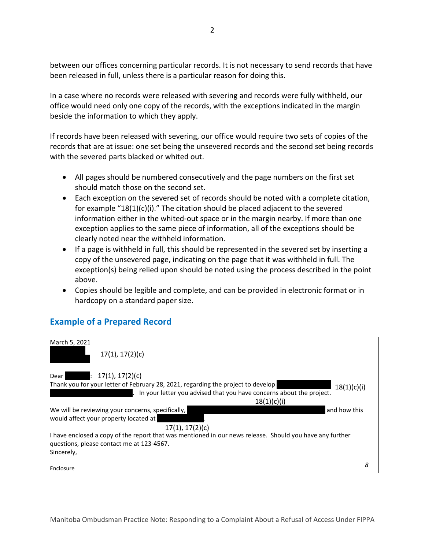between our offices concerning particular records. It is not necessary to send records that have been released in full, unless there is a particular reason for doing this.

In a case where no records were released with severing and records were fully withheld, our office would need only one copy of the records, with the exceptions indicated in the margin beside the information to which they apply.

If records have been released with severing, our office would require two sets of copies of the records that are at issue: one set being the unsevered records and the second set being records with the severed parts blacked or whited out.

- All pages should be numbered consecutively and the page numbers on the first set should match those on the second set.
- Each exception on the severed set of records should be noted with a complete citation, for example "18(1)(c)(i)." The citation should be placed adjacent to the severed information either in the whited-out space or in the margin nearby. If more than one exception applies to the same piece of information, all of the exceptions should be clearly noted near the withheld information.
- If a page is withheld in full, this should be represented in the severed set by inserting a copy of the unsevered page, indicating on the page that it was withheld in full. The exception(s) being relied upon should be noted using the process described in the point above.
- Copies should be legible and complete, and can be provided in electronic format or in hardcopy on a standard paper size.

#### **Example of a Prepared Record**

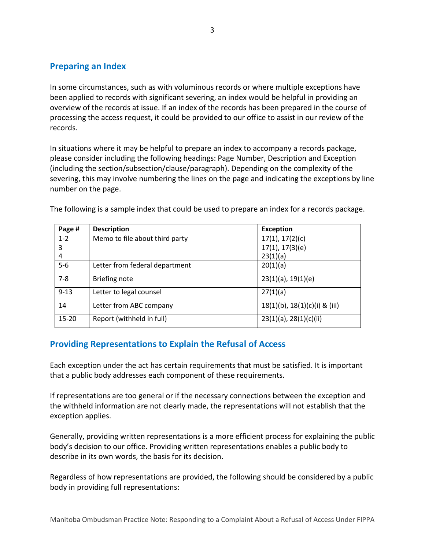### **Preparing an Index**

In some circumstances, such as with voluminous records or where multiple exceptions have been applied to records with significant severing, an index would be helpful in providing an overview of the records at issue. If an index of the records has been prepared in the course of processing the access request, it could be provided to our office to assist in our review of the records.

3

In situations where it may be helpful to prepare an index to accompany a records package, please consider including the following headings: Page Number, Description and Exception (including the section/subsection/clause/paragraph). Depending on the complexity of the severing, this may involve numbering the lines on the page and indicating the exceptions by line number on the page.

| Page #    | <b>Description</b>             | <b>Exception</b>                   |
|-----------|--------------------------------|------------------------------------|
| $1 - 2$   | Memo to file about third party | 17(1), 17(2)(c)                    |
| 3         |                                | 17(1), 17(3)(e)                    |
| 4         |                                | 23(1)(a)                           |
| $5-6$     | Letter from federal department | 20(1)(a)                           |
| $7 - 8$   | <b>Briefing note</b>           | $23(1)(a)$ , $19(1)(e)$            |
| $9 - 13$  | Letter to legal counsel        | 27(1)(a)                           |
| 14        | Letter from ABC company        | $18(1)(b)$ , $18(1)(c)(i)$ & (iii) |
| $15 - 20$ | Report (withheld in full)      | $23(1)(a)$ , $28(1)(c)(ii)$        |

The following is a sample index that could be used to prepare an index for a records package.

## **Providing Representations to Explain the Refusal of Access**

Each exception under the act has certain requirements that must be satisfied. It is important that a public body addresses each component of these requirements.

If representations are too general or if the necessary connections between the exception and the withheld information are not clearly made, the representations will not establish that the exception applies.

Generally, providing written representations is a more efficient process for explaining the public body's decision to our office. Providing written representations enables a public body to describe in its own words, the basis for its decision.

Regardless of how representations are provided, the following should be considered by a public body in providing full representations: